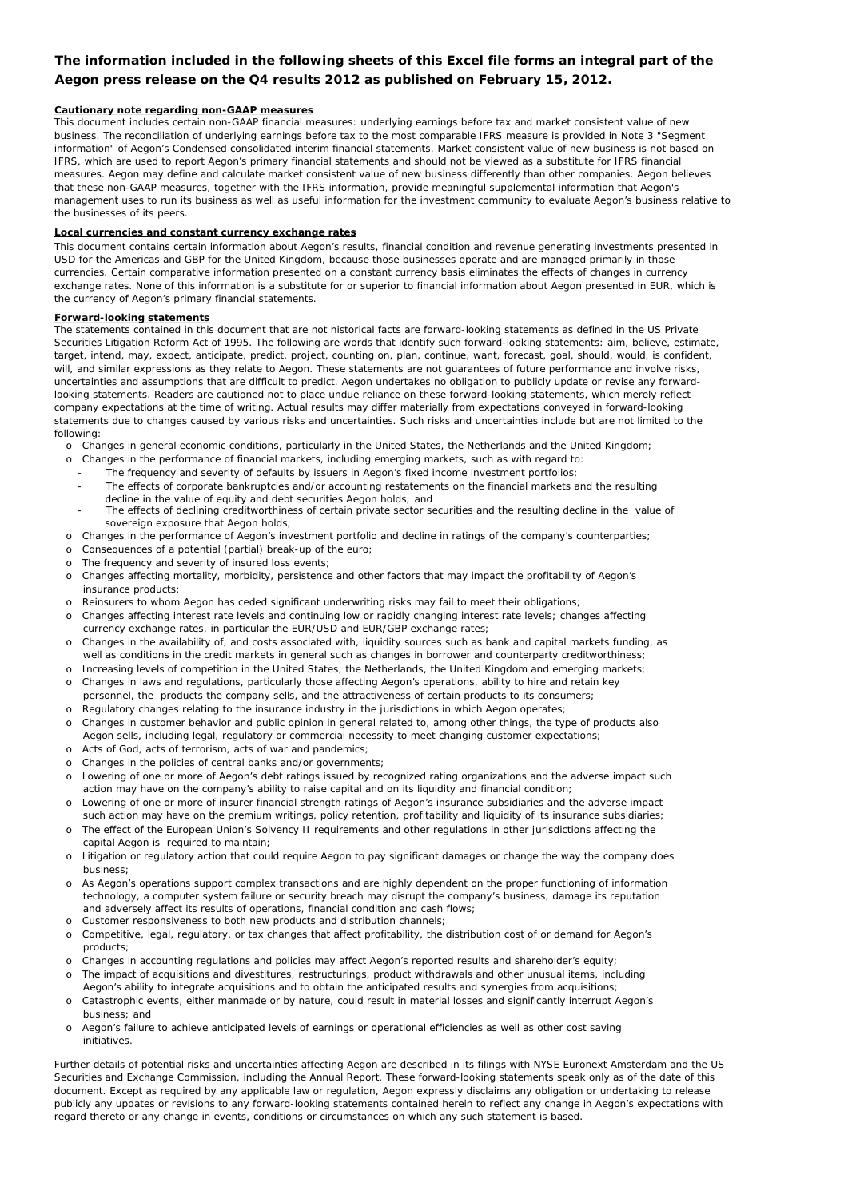# **The information included in the following sheets of this Excel file forms an integral part of the Aegon press release on the Q4 results 2012 as published on February 15, 2012.**

### **Cautionary note regarding non-GAAP measures**

This document includes certain non-GAAP financial measures: underlying earnings before tax and market consistent value of new business. The reconciliation of underlying earnings before tax to the most comparable IFRS measure is provided in Note 3 "Segment information" of Aegon's Condensed consolidated interim financial statements. Market consistent value of new business is not based on IFRS, which are used to report Aegon's primary financial statements and should not be viewed as a substitute for IFRS financial measures. Aegon may define and calculate market consistent value of new business differently than other companies. Aegon believes that these non-GAAP measures, together with the IFRS information, provide meaningful supplemental information that Aegon's management uses to run its business as well as useful information for the investment community to evaluate Aegon's business relative to the businesses of its peers.

### **Local currencies and constant currency exchange rates**

This document contains certain information about Aegon's results, financial condition and revenue generating investments presented in USD for the Americas and GBP for the United Kingdom, because those businesses operate and are managed primarily in those currencies. Certain comparative information presented on a constant currency basis eliminates the effects of changes in currency exchange rates. None of this information is a substitute for or superior to financial information about Aegon presented in EUR, which is the currency of Aegon's primary financial statements.

### **Forward-looking statements**

The statements contained in this document that are not historical facts are forward-looking statements as defined in the US Private Securities Litigation Reform Act of 1995. The following are words that identify such forward-looking statements: aim, believe, estimate, target, intend, may, expect, anticipate, predict, project, counting on, plan, continue, want, forecast, goal, should, would, is confident, will, and similar expressions as they relate to Aegon. These statements are not guarantees of future performance and involve risks, uncertainties and assumptions that are difficult to predict. Aegon undertakes no obligation to publicly update or revise any forwardlooking statements. Readers are cautioned not to place undue reliance on these forward-looking statements, which merely reflect company expectations at the time of writing. Actual results may differ materially from expectations conveyed in forward-looking statements due to changes caused by various risks and uncertainties. Such risks and uncertainties include but are not limited to the following:

- o Changes in general economic conditions, particularly in the United States, the Netherlands and the United Kingdom;
- o Changes in the performance of financial markets, including emerging markets, such as with regard to:
	- The frequency and severity of defaults by issuers in Aegon's fixed income investment portfolios:
	- The effects of corporate bankruptcies and/or accounting restatements on the financial markets and the resulting decline in the value of equity and debt securities Aegon holds; and
	- The effects of declining creditworthiness of certain private sector securities and the resulting decline in the value of sovereign exposure that Aegon holds;
- o Changes in the performance of Aegon's investment portfolio and decline in ratings of the company's counterparties;
- o Consequences of a potential (partial) break-up of the euro;
- o The frequency and severity of insured loss events;
- o Changes affecting mortality, morbidity, persistence and other factors that may impact the profitability of Aegon's insurance products;
- o Reinsurers to whom Aegon has ceded significant underwriting risks may fail to meet their obligations;
- o Changes affecting interest rate levels and continuing low or rapidly changing interest rate levels; changes affecting currency exchange rates, in particular the EUR/USD and EUR/GBP exchange rates;
- o Changes in the availability of, and costs associated with, liquidity sources such as bank and capital markets funding, as well as conditions in the credit markets in general such as changes in borrower and counterparty creditworthiness;
- o Increasing levels of competition in the United States, the Netherlands, the United Kingdom and emerging markets; o Changes in laws and regulations, particularly those affecting Aegon's operations, ability to hire and retain key
- personnel, the products the company sells, and the attractiveness of certain products to its consumers;
- o Regulatory changes relating to the insurance industry in the jurisdictions in which Aegon operates;
- o Changes in customer behavior and public opinion in general related to, among other things, the type of products also Aegon sells, including legal, regulatory or commercial necessity to meet changing customer expectations;
- o Acts of God, acts of terrorism, acts of war and pandemics;
- o Changes in the policies of central banks and/or governments;
- o Lowering of one or more of Aegon's debt ratings issued by recognized rating organizations and the adverse impact such action may have on the company's ability to raise capital and on its liquidity and financial condition;
- o Lowering of one or more of insurer financial strength ratings of Aegon's insurance subsidiaries and the adverse impact such action may have on the premium writings, policy retention, profitability and liquidity of its insurance subsidiaries;
- o The effect of the European Union's Solvency II requirements and other regulations in other jurisdictions affecting the capital Aegon is required to maintain;
- o Litigation or regulatory action that could require Aegon to pay significant damages or change the way the company does business;
- o As Aegon's operations support complex transactions and are highly dependent on the proper functioning of information technology, a computer system failure or security breach may disrupt the company's business, damage its reputation and adversely affect its results of operations, financial condition and cash flows;
- o Customer responsiveness to both new products and distribution channels;
- Competitive, legal, regulatory, or tax changes that affect profitability, the distribution cost of or demand for Aegon's products;
- o Changes in accounting regulations and policies may affect Aegon's reported results and shareholder's equity;
- o The impact of acquisitions and divestitures, restructurings, product withdrawals and other unusual items, including Aegon's ability to integrate acquisitions and to obtain the anticipated results and synergies from acquisitions;
- Catastrophic events, either manmade or by nature, could result in material losses and significantly interrupt Aegon's business; and
- o Aegon's failure to achieve anticipated levels of earnings or operational efficiencies as well as other cost saving initiatives.

Further details of potential risks and uncertainties affecting Aegon are described in its filings with NYSE Euronext Amsterdam and the US Securities and Exchange Commission, including the Annual Report. These forward-looking statements speak only as of the date of this document. Except as required by any applicable law or regulation, Aegon expressly disclaims any obligation or undertaking to release publicly any updates or revisions to any forward-looking statements contained herein to reflect any change in Aegon's expectations with regard thereto or any change in events, conditions or circumstances on which any such statement is based.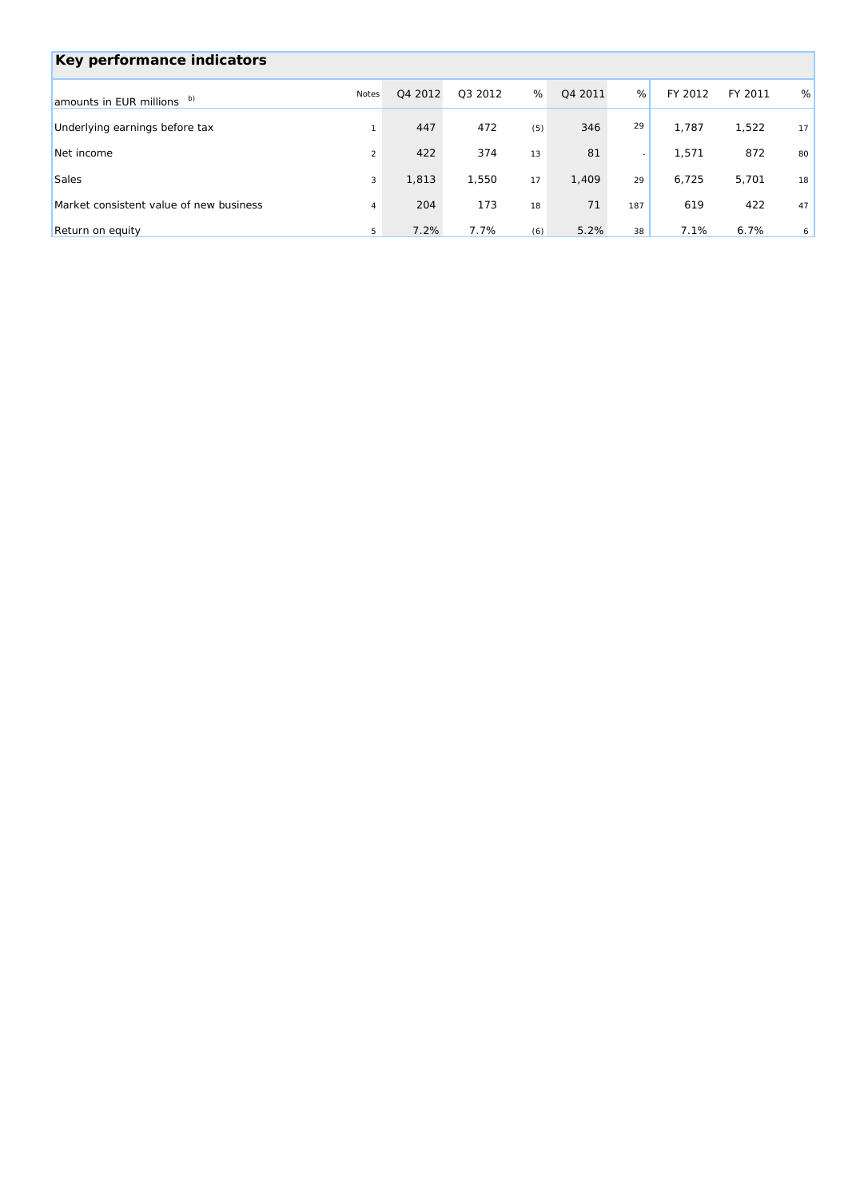| Key performance indicators              |                |         |         |     |         |     |         |         |    |  |
|-----------------------------------------|----------------|---------|---------|-----|---------|-----|---------|---------|----|--|
| amounts in EUR millions b)              | <b>Notes</b>   | Q4 2012 | Q3 2012 | %   | Q4 2011 | %   | FY 2012 | FY 2011 | %  |  |
| Underlying earnings before tax          |                | 447     | 472     | (5) | 346     | 29  | 1.787   | 1,522   | 17 |  |
| Net income                              | 2              | 422     | 374     | 13  | 81      |     | 1,571   | 872     | 80 |  |
| <b>Sales</b>                            | 3              | 1,813   | 1,550   | 17  | 1,409   | 29  | 6,725   | 5,701   | 18 |  |
| Market consistent value of new business | $\overline{4}$ | 204     | 173     | 18  | 71      | 187 | 619     | 422     | 47 |  |
| Return on equity                        | 5              | 7.2%    | 7.7%    | (6) | 5.2%    | 38  | 7.1%    | 6.7%    | 6  |  |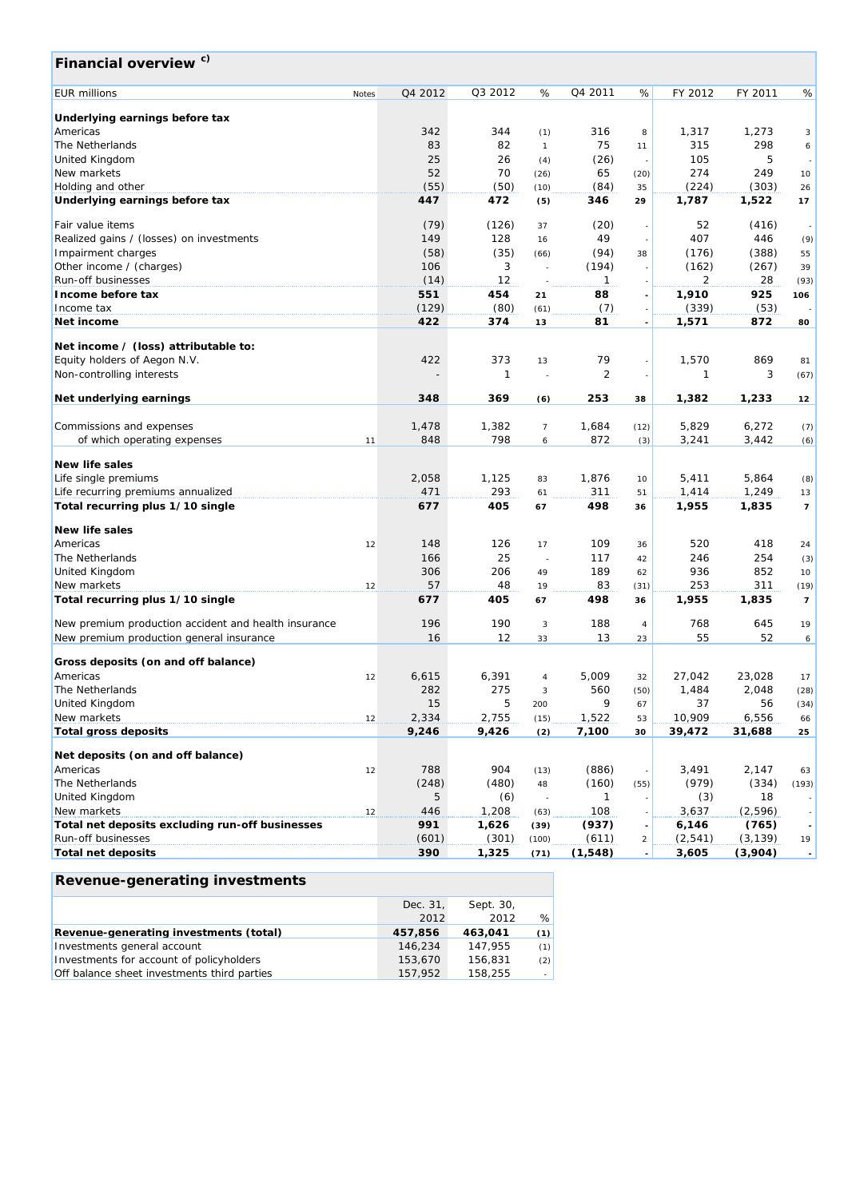| Financial overview <sup>c)</sup>                     |       |         |              |                          |                |                          |              |          |                |
|------------------------------------------------------|-------|---------|--------------|--------------------------|----------------|--------------------------|--------------|----------|----------------|
| <b>EUR</b> millions                                  | Notes | Q4 2012 | Q3 2012      | %                        | Q4 2011        | %                        | FY 2012      | FY 2011  | %              |
| Underlying earnings before tax                       |       |         |              |                          |                |                          |              |          |                |
| Americas                                             |       | 342     | 344          | (1)                      | 316            | 8                        | 1,317        | 1,273    | 3              |
| The Netherlands                                      |       | 83      | 82           | $\mathcal{I}$            | 75             | 11                       | 315          | 298      | 6              |
| United Kingdom                                       |       | 25      | 26           | (4)                      | (26)           |                          | 105          | 5        |                |
| New markets                                          |       | 52      | 70           | (26)                     | 65             | (20)                     | 274          | 249      | 10             |
| Holding and other                                    |       | (55)    | (50)         | (10)                     | (84)           | 35                       | (224)        | (303)    | 26             |
| Underlying earnings before tax                       |       | 447     | 472          | (5)                      | 346            | 29                       | 1,787        | 1,522    | 17             |
| Fair value items                                     |       | (79)    | (126)        | 37                       | (20)           |                          | 52           | (416)    |                |
| Realized gains / (losses) on investments             |       | 149     | 128          | 16                       | 49             | $\overline{a}$           | 407          | 446      | (9)            |
| Impairment charges                                   |       | (58)    | (35)         | (66)                     | (94)           | 38                       | (176)        | (388)    | 55             |
| Other income / (charges)                             |       | 106     | 3            | $\overline{a}$           | (194)          |                          | (162)        | (267)    | 39             |
| Run-off businesses                                   |       | (14)    | 12           |                          | 1              |                          | 2            | 28       | (93)           |
| Income before tax                                    |       | 551     | 454          | 21                       | 88             | $\overline{\phantom{a}}$ | 1,910        | 925      | 106            |
| Income tax                                           |       | (129)   | (80)         | (61)                     | (7)            | ÷,                       | (339)        | (53)     |                |
| Net income                                           |       | 422     | 374          | 13                       | 81             | $\overline{\phantom{a}}$ | 1,571        | 872      | 80             |
| Net income / (loss) attributable to:                 |       |         |              |                          |                |                          |              |          |                |
| Equity holders of Aegon N.V.                         |       | 422     | 373          | 13                       | 79             |                          | 1,570        | 869      | 81             |
| Non-controlling interests                            |       |         | $\mathbf{1}$ |                          | $\overline{2}$ |                          | $\mathbf{1}$ | 3        | (67)           |
|                                                      |       |         |              |                          |                |                          |              |          |                |
| Net underlying earnings                              |       | 348     | 369          | (6)                      | 253            | 38                       | 1,382        | 1,233    | 12             |
| Commissions and expenses                             |       | 1,478   | 1,382        | $\overline{7}$           | 1,684          | (12)                     | 5,829        | 6,272    | (7)            |
| of which operating expenses                          | 11    | 848     | 798          | 6                        | 872            | (3)                      | 3,241        | 3,442    | (6)            |
|                                                      |       |         |              |                          |                |                          |              |          |                |
| <b>New life sales</b>                                |       |         |              |                          |                |                          |              |          |                |
| Life single premiums                                 |       | 2,058   | 1,125        | 83                       | 1,876          | 10                       | 5,411        | 5,864    | (8)            |
| Life recurring premiums annualized                   |       | 471     | 293          | 61                       | 311            | 51                       | 1,414        | 1,249    | 13             |
| Total recurring plus 1/10 single                     |       | 677     | 405          | 67                       | 498            | 36                       | 1,955        | 1,835    | $\overline{z}$ |
| <b>New life sales</b>                                |       |         |              |                          |                |                          |              |          |                |
| Americas                                             | 12    | 148     | 126          | 17                       | 109            | 36                       | 520          | 418      | 24             |
| The Netherlands                                      |       | 166     | 25           | $\sim$                   | 117            | 42                       | 246          | 254      | (3)            |
| United Kingdom                                       |       | 306     | 206          | 49                       | 189            | 62                       | 936          | 852      | 10             |
| New markets                                          | 12    | 57      | 48           | 19                       | 83             | (31)                     | 253          | 311      | (19)           |
| Total recurring plus 1/10 single                     |       | 677     | 405          | 67                       | 498            | 36                       | 1,955        | 1,835    | $\overline{7}$ |
| New premium production accident and health insurance |       | 196     | 190          | $\sqrt{3}$               | 188            | $\overline{4}$           | 768          | 645      | 19             |
| New premium production general insurance             |       | 16      | 12           | 33                       | 13             | 23                       | 55           | 52       | 6              |
| Gross deposits (on and off balance)                  |       |         |              |                          |                |                          |              |          |                |
| Americas                                             | 12    | 6,615   | 6,391        | $\overline{4}$           | 5,009          | 32                       | 27,042       | 23,028   | 17             |
| The Netherlands                                      |       | 282     | 275          | 3                        | 560            | (50)                     | 1,484        | 2,048    | (28)           |
| United Kingdom                                       |       | 15      | 5            | 200                      | 9              | 67                       | 37           | 56       | (34)           |
| New markets                                          | 12    | 2,334   | 2,755        | (15)                     | 1,522          | 53                       | 10,909       | 6,556    | 66             |
| <b>Total gross deposits</b>                          |       | 9,246   | 9,426        | (2)                      | 7,100          | 30                       | 39,472       | 31,688   | 25             |
| Net deposits (on and off balance)                    |       |         |              |                          |                |                          |              |          |                |
|                                                      |       |         | 904          |                          |                |                          |              |          |                |
| Americas                                             | 12    | 788     |              | (13)                     | (886)          |                          | 3,491        | 2,147    | 63             |
| The Netherlands                                      |       | (248)   | (480)        | 48                       | (160)          | (55)                     | (979)        | (334)    | (193)          |
| <b>United Kingdom</b>                                |       | 5       | (6)          | $\overline{\phantom{a}}$ | 1              |                          | (3)          | 18       |                |
| New markets                                          | 12    | 446     | 1,208        | (63)                     | 108            |                          | 3,637        | (2,596)  |                |
| Total net deposits excluding run-off businesses      |       | 991     | 1,626        | (39)                     | (937)          | $\overline{\phantom{a}}$ | 6,146        | (765)    |                |
| Run-off businesses                                   |       | (601)   | (301)        | (100)                    | (611)          | $\overline{a}$           | (2, 541)     | (3, 139) | 19             |
| <b>Total net deposits</b>                            |       | 390     | 1,325        | (71)                     | (1, 548)       | $\overline{\phantom{a}}$ | 3,605        | (3,904)  |                |

# **Revenue-generating investments**

|                                             | Dec. 31, | Sept. 30, |     |
|---------------------------------------------|----------|-----------|-----|
|                                             | 2012     | 2012      | %   |
| Revenue-generating investments (total)      | 457,856  | 463,041   | (1) |
| Investments general account                 | 146,234  | 147.955   | (1) |
| Investments for account of policyholders    | 153,670  | 156.831   | (2) |
| Off balance sheet investments third parties | 157,952  | 158,255   |     |
|                                             |          |           |     |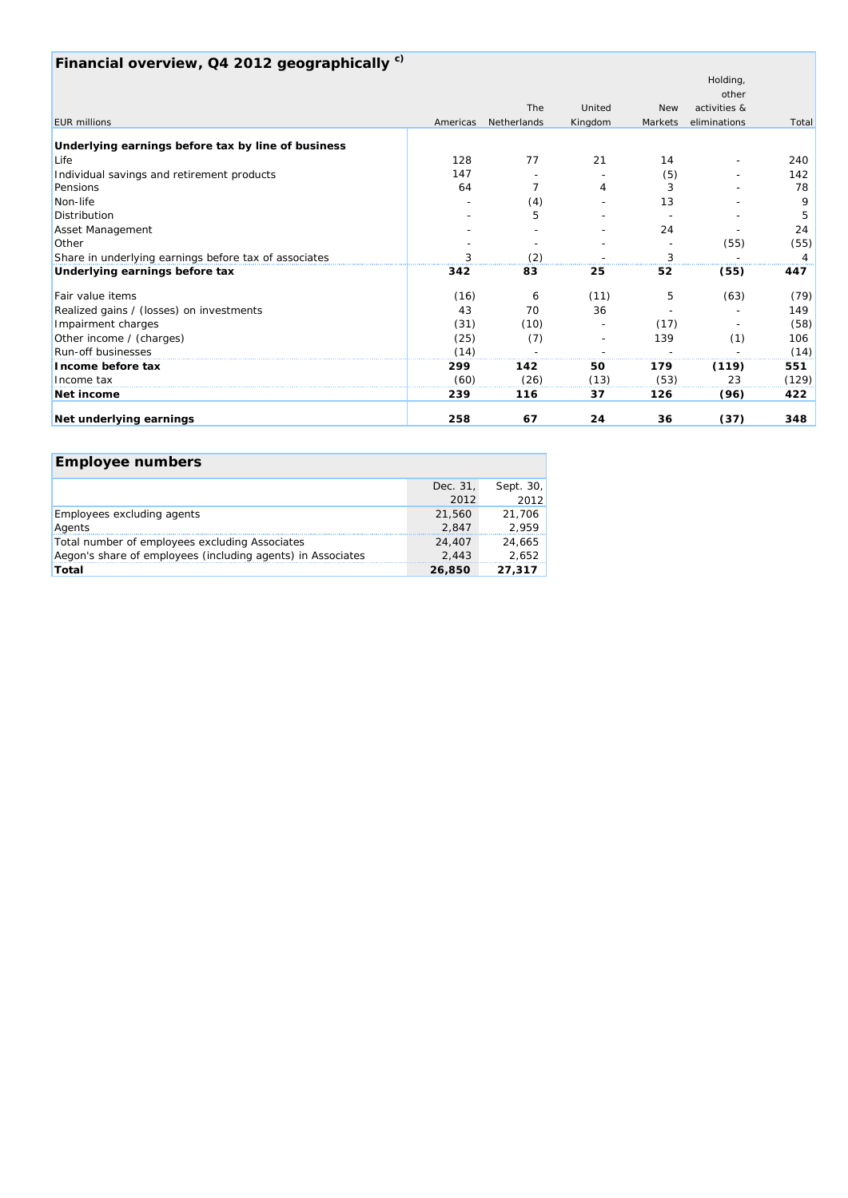| Financial overview, Q4 2012 geographically <sup>c)</sup> |          |             |         |            |              |       |
|----------------------------------------------------------|----------|-------------|---------|------------|--------------|-------|
|                                                          |          |             |         |            | Holding,     |       |
|                                                          |          |             |         |            | other        |       |
|                                                          |          | The         | United  | <b>New</b> | activities & |       |
| <b>EUR millions</b>                                      | Americas | Netherlands | Kingdom | Markets    | eliminations | Total |
| Underlying earnings before tax by line of business       |          |             |         |            |              |       |
| Life                                                     | 128      | 77          | 21      | 14         |              | 240   |
| Individual savings and retirement products               | 147      |             |         | (5)        |              | 142   |
| Pensions                                                 | 64       |             | 4       | 3          |              | 78    |
| Non-life                                                 |          | (4)         |         | 13         |              | 9     |
| Distribution                                             |          | 5           |         |            |              | 5     |
| Asset Management                                         |          |             |         | 24         |              | 24    |
| Other                                                    |          |             | ۰       |            | (55)         | (55)  |
| Share in underlying earnings before tax of associates    | 3        | (2)         |         | 3          |              |       |
| Underlying earnings before tax                           | 342      | 83          | 25      | 52         | (55)         | 447   |
| Fair value items                                         | (16)     | 6           | (11)    | 5          | (63)         | (79)  |
| Realized gains / (losses) on investments                 | 43       | 70          | 36      |            |              | 149   |
| Impairment charges                                       | (31)     | (10)        |         | (17)       |              | (58)  |
| Other income / (charges)                                 | (25)     | (7)         | ٠       | 139        | (1)          | 106   |
| Run-off businesses                                       | (14)     |             |         |            |              | (14)  |
| Income before tax                                        | 299      | 142         | 50      | 179        | (119)        | 551   |
| Income tax                                               | (60)     | (26)        | (13)    | (53)       | 23           | (129) |
| Net income                                               | 239      | 116         | 37      | 126        | (96)         | 422   |
| Net underlying earnings                                  | 258      | 67          | 24      | 36         | (37)         | 348   |

| <b>Employee numbers</b>                                                                                       |                  |                   |
|---------------------------------------------------------------------------------------------------------------|------------------|-------------------|
|                                                                                                               | Dec. 31,<br>2012 | Sept. 30,<br>2012 |
| Employees excluding agents<br>Agents                                                                          | 21,560<br>2.847  | 21.706<br>2.959   |
| Total number of employees excluding Associates<br>Aegon's share of employees (including agents) in Associates | 24,407<br>2.443  | 24,665<br>2.652   |
| Total                                                                                                         | 26,850           | 27,317            |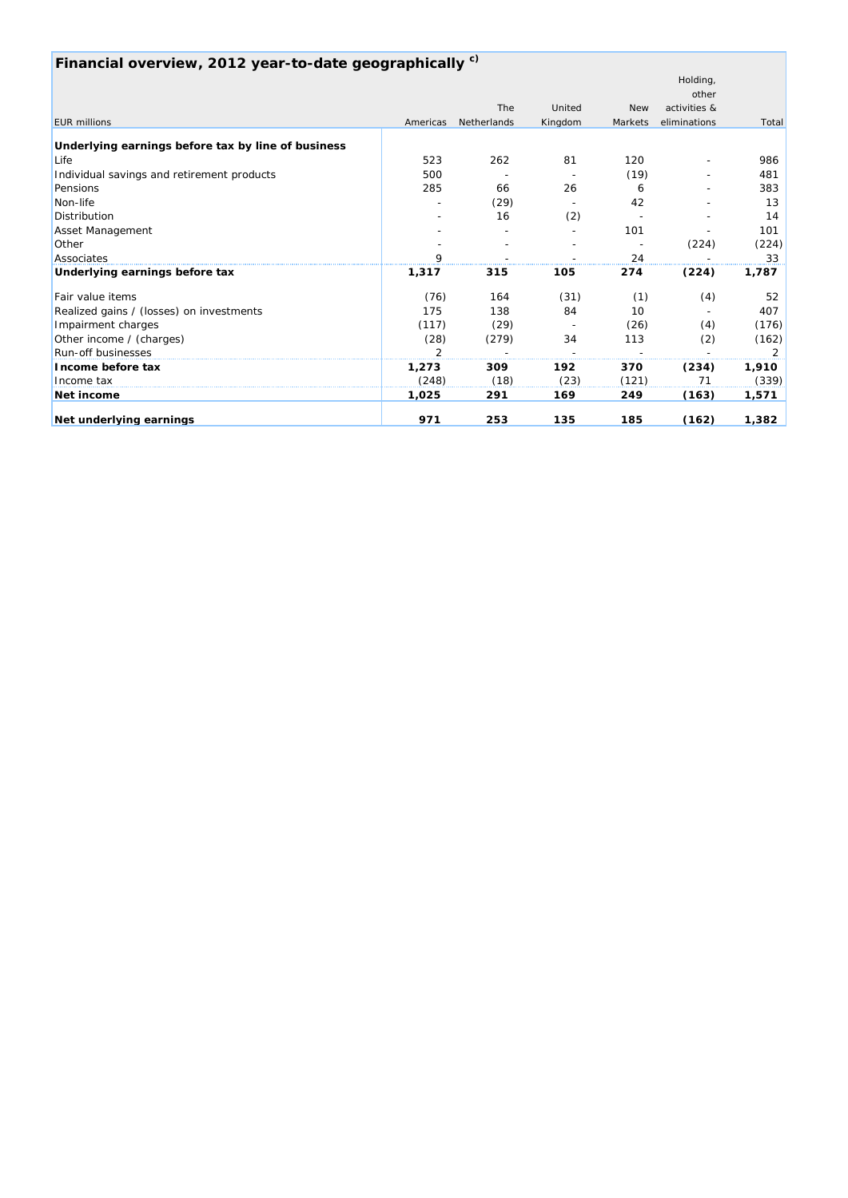| Financial overview, 2012 year-to-date geographically <sup>c)</sup> |                |             |         |            |              |       |
|--------------------------------------------------------------------|----------------|-------------|---------|------------|--------------|-------|
|                                                                    |                |             |         |            | Holding,     |       |
|                                                                    |                |             |         |            | other        |       |
|                                                                    |                | The         | United  | <b>New</b> | activities & |       |
| <b>EUR</b> millions                                                | Americas       | Netherlands | Kingdom | Markets    | eliminations | Total |
| Underlying earnings before tax by line of business                 |                |             |         |            |              |       |
| Life                                                               | 523            | 262         | 81      | 120        |              | 986   |
| Individual savings and retirement products                         | 500            |             |         | (19)       |              | 481   |
| Pensions                                                           | 285            | 66          | 26      | 6          |              | 383   |
| Non-life                                                           |                | (29)        |         | 42         |              | 13    |
| Distribution                                                       |                | 16          | (2)     |            |              | 14    |
| Asset Management                                                   |                |             |         | 101        |              | 101   |
| Other                                                              |                |             |         |            | (224)        | (224) |
| Associates                                                         | 9              |             |         | 24         |              | 33    |
| Underlying earnings before tax                                     | 1,317          | 315         | 105     | 274        | (224)        | 1,787 |
| Fair value items                                                   | (76)           | 164         | (31)    | (1)        | (4)          | 52    |
| Realized gains / (losses) on investments                           | 175            | 138         | 84      | 10         |              | 407   |
| Impairment charges                                                 | (117)          | (29)        |         | (26)       | (4)          | (176) |
| Other income / (charges)                                           | (28)           | (279)       | 34      | 113        | (2)          | (162) |
| Run-off businesses                                                 | $\overline{2}$ |             |         |            |              | 2     |
| Income before tax                                                  | 1,273          | 309         | 192     | 370        | (234)        | 1,910 |
| Income tax                                                         | (248)          | (18)        | (23)    | (121)      | 71           | (339) |
| Net income                                                         | 1,025          | 291         | 169     | 249        | (163)        | 1,571 |
| Net underlying earnings                                            | 971            | 253         | 135     | 185        | (162)        | 1,382 |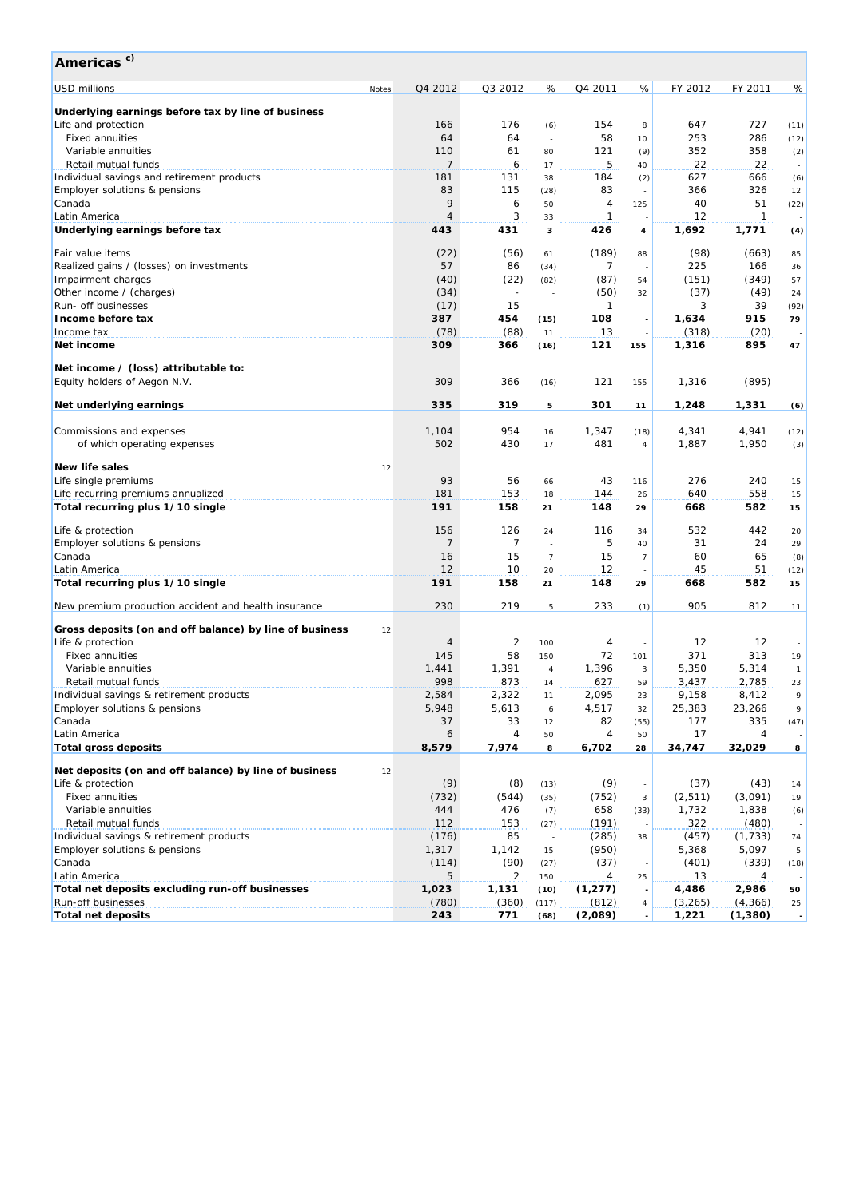| Americas <sup>c)</sup>                                        |                  |                          |                     |                |                  |                  |                 |                          |
|---------------------------------------------------------------|------------------|--------------------------|---------------------|----------------|------------------|------------------|-----------------|--------------------------|
| <b>USD millions</b><br>Notes                                  | Q4 2012          | Q3 2012                  | %                   | Q4 2011        | %                | FY 2012          | FY 2011         | %                        |
| Underlying earnings before tax by line of business            |                  |                          |                     |                |                  |                  |                 |                          |
| Life and protection                                           | 166              | 176                      | (6)                 | 154            | 8                | 647              | 727             | (11)                     |
| <b>Fixed annuities</b>                                        | 64               | 64                       | $\bar{\mathcal{L}}$ | 58             | 10               | 253              | 286             | (12)                     |
| Variable annuities                                            | 110              | 61                       | 80                  | 121            | (9)              | 352              | 358             | (2)                      |
| Retail mutual funds                                           | $\overline{7}$   | 6                        | 17                  | 5              | 40               | 22               | 22              |                          |
| Individual savings and retirement products                    | 181              | 131                      | 38                  | 184            | (2)              | 627              | 666             | (6)                      |
| Employer solutions & pensions                                 | 83               | 115                      | (28)                | 83             |                  | 366              | 326             | 12                       |
| Canada                                                        | 9                | 6                        | 50                  | 4              | 125              | 40               | 51              | (22)                     |
| Latin America                                                 | $\overline{4}$   | 3                        | 33                  | $\mathbf{1}$   |                  | 12               | $\mathbf{1}$    |                          |
| Underlying earnings before tax                                | 443              | 431                      | 3                   | 426            | 4                | 1,692            | 1,771           | (4)                      |
| Fair value items                                              | (22)             | (56)                     | 61                  | (189)          | 88               | (98)             | (663)           | 85                       |
| Realized gains / (losses) on investments                      | 57               | 86                       | (34)                | $\overline{7}$ |                  | 225              | 166             | 36                       |
| Impairment charges                                            | (40)             | (22)                     | (82)                | (87)           | 54               | (151)            | (349)           | 57                       |
| Other income / (charges)                                      | (34)             | $\overline{\phantom{a}}$ |                     | (50)           | 32               | (37)             | (49)            | 24                       |
| Run- off businesses                                           | (17)             | 15                       |                     | $\mathbf{1}$   |                  | 3                | 39              | (92)                     |
| Income before tax                                             | 387              | 454                      | (15)                | 108            |                  | 1,634            | 915             | 79                       |
| Income tax                                                    | (78)             | (88)                     | 11                  | 13             |                  | (318)            | (20)            |                          |
| Net income                                                    | 309              | 366                      | (16)                | 121            | 155              | 1,316            | 895             | 47                       |
| Net income / (loss) attributable to:                          |                  |                          |                     |                |                  |                  |                 |                          |
| Equity holders of Aegon N.V.                                  | 309              | 366                      | (16)                | 121            | 155              | 1,316            | (895)           |                          |
| Net underlying earnings                                       | 335              | 319                      | 5                   | 301            | 11               | 1,248            | 1,331           | (6)                      |
|                                                               |                  |                          |                     |                |                  |                  |                 |                          |
| Commissions and expenses                                      | 1,104            | 954                      | 16                  | 1,347          | (18)             | 4,341            | 4,941           | (12)                     |
| of which operating expenses                                   | 502              | 430                      | 17                  | 481            | $\overline{4}$   | 1,887            | 1,950           | (3)                      |
|                                                               |                  |                          |                     |                |                  |                  |                 |                          |
| New life sales<br>12                                          |                  |                          |                     |                |                  |                  |                 |                          |
| Life single premiums                                          | 93               | 56                       | 66                  | 43             | 116              | 276              | 240             | 15                       |
| Life recurring premiums annualized                            | 181<br>191       | 153<br>158               | 18                  | 144<br>148     | 26               | 640<br>668       | 558<br>582      | 15                       |
| Total recurring plus 1/10 single                              |                  |                          | 21                  |                | 29               |                  |                 | 15                       |
| Life & protection                                             | 156              | 126                      | 24                  | 116            | 34               | 532              | 442             | 20                       |
| Employer solutions & pensions                                 | $\overline{7}$   | $\overline{7}$           |                     | 5              | 40               | 31               | 24              | 29                       |
| Canada                                                        | 16               | 15                       | $\overline{7}$      | 15             | $\overline{7}$   | 60               | 65              | (8)                      |
| Latin America                                                 | 12               | 10                       | 20                  | 12             |                  | 45               | 51              | (12)                     |
| Total recurring plus 1/10 single                              | 191              | 158                      | 21                  | 148            | 29               | 668              | 582             | 15                       |
| New premium production accident and health insurance          | 230              | 219                      | 5                   | 233            | (1)              | 905              | 812             | 11                       |
| Gross deposits (on and off balance) by line of business<br>12 |                  |                          |                     |                |                  |                  |                 |                          |
| Life & protection                                             | 4                | 2                        | 100                 | 4              |                  | 12               | 12              |                          |
| <b>Fixed annuities</b>                                        | 145              | 58                       | 150                 | 72             | 101              | 371              | 313             | 19                       |
| Variable annuities                                            | 1,441            | 1,391                    | $\sqrt{4}$          | 1,396          | 3                | 5,350            | 5,314           | $\boldsymbol{\tau}$      |
| Retail mutual funds                                           | 998              | 873                      | 14                  | 627            | 59               | 3,437            | 2,785           | 23                       |
| Individual savings & retirement products                      | 2,584            | 2,322                    | 11                  | 2,095          | 23               | 9,158            | 8,412           | 9                        |
| Employer solutions & pensions                                 | 5,948            | 5,613                    | 6                   | 4,517          | 32               | 25,383           | 23,266          | 9                        |
| Canada                                                        | 37               | 33                       | 12                  | 82             | (55)             | 177              | 335             | (47)                     |
| Latin America                                                 | $\boldsymbol{6}$ | 4                        | 50                  | $\overline{a}$ | 50               | 17               | 4               |                          |
| <b>Total gross deposits</b>                                   | 8,579            | 7,974                    | 8                   | 6,702          | 28               | 34,747           | 32,029          | 8                        |
|                                                               |                  |                          |                     |                |                  |                  |                 |                          |
| Net deposits (on and off balance) by line of business<br>12   |                  |                          |                     |                |                  |                  |                 |                          |
| Life & protection<br><b>Fixed annuities</b>                   | (9)<br>(732)     | (8)<br>(544)             | (13)<br>(35)        | (9)<br>(752)   | $\mathcal{Z}$    | (37)<br>(2, 511) | (43)<br>(3,091) | 14<br>19                 |
| Variable annuities                                            | 444              | 476                      | (7)                 | 658            | (33)             | 1,732            | 1,838           |                          |
| Retail mutual funds                                           | 112              | 153                      | (27)                | (191)          |                  | 322              | (480)           | (6)                      |
| Individual savings & retirement products                      | (176)            | 85                       | $\sim$              | (285)          | 38               | (457)            | (1, 733)        | 74                       |
| Employer solutions & pensions                                 | 1,317            | 1,142                    | 15                  | (950)          |                  | 5,368            | 5,097           | 5                        |
| Canada                                                        | (114)            | (90)                     | (27)                | (37)           |                  | (401)            | (339)           | (18)                     |
| Latin America                                                 | 5                | $\overline{2}$           | 150                 | 4              | 25               | 13               | 4               |                          |
| Total net deposits excluding run-off businesses               | 1,023            | 1,131                    | (10)                | (1, 277)       |                  | 4,486            | 2,986           | 50                       |
| Run-off businesses                                            | (780)            | (360)                    | (117)               | (812)          | $\boldsymbol{4}$ | (3, 265)         | (4,366)         | 25                       |
| <b>Total net deposits</b>                                     | 243              | 771                      | (68)                | (2,089)        |                  | 1,221            | (1, 380)        | $\overline{\phantom{a}}$ |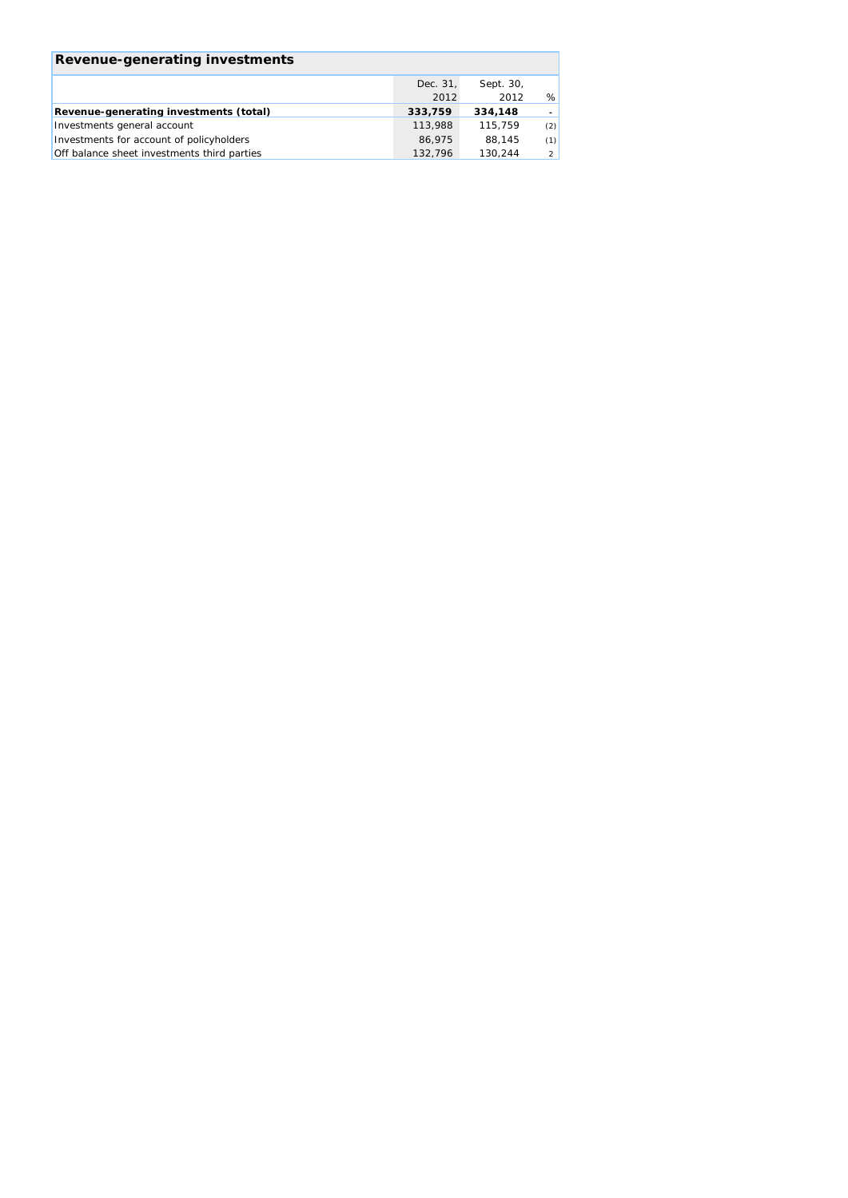| Revenue-generating investments              |          |           |                          |
|---------------------------------------------|----------|-----------|--------------------------|
|                                             | Dec. 31. | Sept. 30, |                          |
|                                             | 2012     | 2012      | %                        |
| Revenue-generating investments (total)      | 333,759  | 334,148   | $\overline{\phantom{0}}$ |
| Investments general account                 | 113,988  | 115.759   | (2)                      |
| Investments for account of policyholders    | 86.975   | 88.145    | (1)                      |
| Off balance sheet investments third parties | 132.796  | 130,244   | 2                        |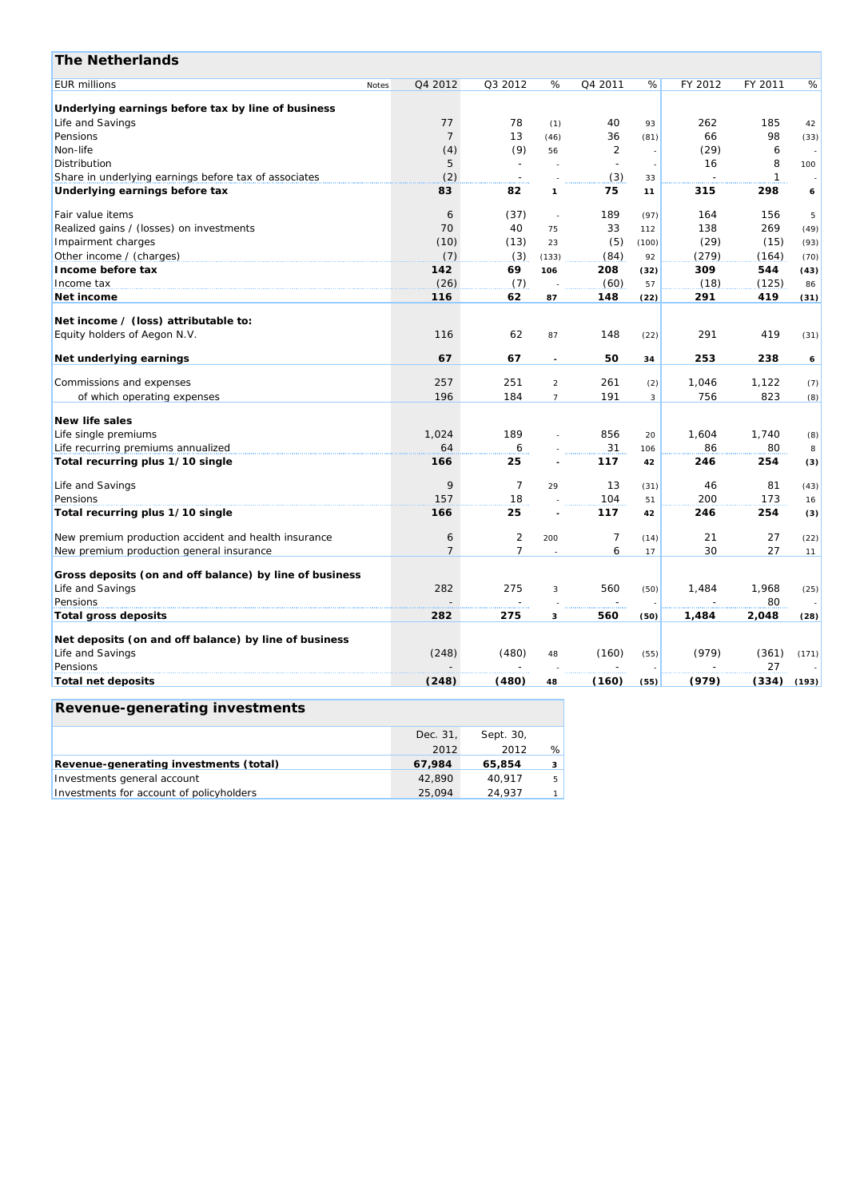| <b>The Netherlands</b>                                                                           |       |                     |                |                          |                          |               |          |              |            |
|--------------------------------------------------------------------------------------------------|-------|---------------------|----------------|--------------------------|--------------------------|---------------|----------|--------------|------------|
| <b>EUR</b> millions                                                                              | Notes | Q4 2012             | Q3 2012        | %                        | Q4 2011                  | %             | FY 2012  | FY 2011      | $\%$       |
| Underlying earnings before tax by line of business                                               |       |                     |                |                          |                          |               |          |              |            |
| Life and Savings                                                                                 |       | 77                  | 78             | (1)                      | 40                       | 93            | 262      | 185          | 42         |
| Pensions                                                                                         |       | $\overline{7}$      | 13             | (46)                     | 36                       | (81)          | 66       | 98           | (33)       |
| Non-life                                                                                         |       | (4)                 | (9)            | 56                       | 2                        |               | (29)     | 6            |            |
| Distribution                                                                                     |       | 5                   | $\sim$         |                          | $\blacksquare$           |               | 16       | 8            | 100        |
| Share in underlying earnings before tax of associates                                            |       | (2)                 | $\blacksquare$ |                          | (3)                      | 33            |          | $\mathbf{1}$ |            |
| Underlying earnings before tax                                                                   |       | 83                  | 82             | $\mathbf{1}$             | 75                       | 11            | 315      | 298          | 6          |
| Fair value items                                                                                 |       | 6                   | (37)           | $\overline{\phantom{a}}$ | 189                      | (97)          | 164      | 156          | 5          |
| Realized gains / (losses) on investments                                                         |       | 70                  | 40             | 75                       | 33                       | 112           | 138      | 269          | (49)       |
| Impairment charges                                                                               |       | (10)                | (13)           | 23                       | (5)                      | (100)         | (29)     | (15)         | (93)       |
| Other income / (charges)                                                                         |       | (7)                 | (3)            | (133)                    | (84)                     | 92            | (279)    | (164)        | (70)       |
| Income before tax                                                                                |       | 142                 | 69             | 106                      | 208                      | (32)          | 309      | 544          | (43)       |
| Income tax                                                                                       |       | (26)                | (7)            |                          | (60)                     | 57            | (18)     | (125)        | 86         |
| Net income                                                                                       |       | 116                 | 62             | 87                       | 148                      | (22)          | 291      | 419          | (31)       |
| Net income / (loss) attributable to:                                                             |       |                     |                |                          |                          |               |          |              |            |
| Equity holders of Aegon N.V.                                                                     |       | 116                 | 62             | 87                       | 148                      | (22)          | 291      | 419          | (31)       |
|                                                                                                  |       | 67                  | 67             | $\overline{\phantom{a}}$ | 50                       |               | 253      | 238          |            |
| Net underlying earnings                                                                          |       |                     |                |                          |                          | 34            |          |              | 6          |
| Commissions and expenses                                                                         |       | 257                 | 251            | $\overline{a}$           | 261                      | (2)           | 1,046    | 1,122        | (7)        |
| of which operating expenses                                                                      |       | 196                 | 184            | $\overline{7}$           | 191                      | $\mathcal{Z}$ | 756      | 823          | (8)        |
| <b>New life sales</b>                                                                            |       |                     |                |                          |                          |               |          |              |            |
| Life single premiums                                                                             |       | 1,024               | 189            | $\overline{a}$           | 856                      | 20            | 1,604    | 1,740        | (8)        |
| Life recurring premiums annualized                                                               |       | 64                  | 6              |                          | 31                       | 106           | 86       | 80           | 8          |
| Total recurring plus 1/10 single                                                                 |       | 166                 | 25             | $\tilde{\phantom{a}}$    | 117                      | 42            | 246      | 254          | (3)        |
| Life and Savings                                                                                 |       | 9                   | $\overline{7}$ | 29                       | 13                       | (31)          | 46       | 81           | (43)       |
| Pensions                                                                                         |       | 157                 | 18             |                          | 104                      | 51            | 200      | 173          | 16         |
| Total recurring plus 1/10 single                                                                 |       | 166                 | 25             | $\overline{\phantom{a}}$ | 117                      | 42            | 246      | 254          | (3)        |
|                                                                                                  |       |                     | $\overline{c}$ | 200                      | $\overline{7}$           |               |          | 27           |            |
| New premium production accident and health insurance<br>New premium production general insurance |       | 6<br>$\overline{7}$ | $\overline{7}$ |                          | 6                        | (14)<br>17    | 21<br>30 | 27           | (22)<br>11 |
|                                                                                                  |       |                     |                |                          |                          |               |          |              |            |
| Gross deposits (on and off balance) by line of business                                          |       |                     |                |                          |                          |               |          |              |            |
| Life and Savings                                                                                 |       | 282                 | 275            | 3                        | 560                      | (50)          | 1,484    | 1,968        | (25)       |
| Pensions                                                                                         |       |                     |                |                          | $\overline{\phantom{a}}$ |               |          | 80           |            |
| <b>Total gross deposits</b>                                                                      |       | 282                 | 275            | 3                        | 560                      | (50)          | 1,484    | 2,048        | (28)       |
| Net deposits (on and off balance) by line of business                                            |       |                     |                |                          |                          |               |          |              |            |
| Life and Savings                                                                                 |       | (248)               | (480)          | 48                       | (160)                    | (55)          | (979)    | (361)        | (171)      |
| Pensions                                                                                         |       |                     |                |                          |                          |               |          | 27           |            |
| <b>Total net deposits</b>                                                                        |       | (248)               | (480)          | 48                       | (160)                    | (55)          | (979)    | (334)        | (193)      |
|                                                                                                  |       |                     |                |                          |                          |               |          |              |            |
| <b>Revenue-generating investments</b>                                                            |       |                     |                |                          |                          |               |          |              |            |

| Revenue-generating investments           |          |           |                |
|------------------------------------------|----------|-----------|----------------|
|                                          | Dec. 31, | Sept. 30, |                |
|                                          | 2012     | 2012      | %              |
| Revenue-generating investments (total)   | 67,984   | 65,854    | 3 <sup>1</sup> |
| Investments general account              | 42.890   | 40.917    | 5 <sup>1</sup> |
| Investments for account of policyholders | 25.094   | 24.937    | $\mathbf{1}$   |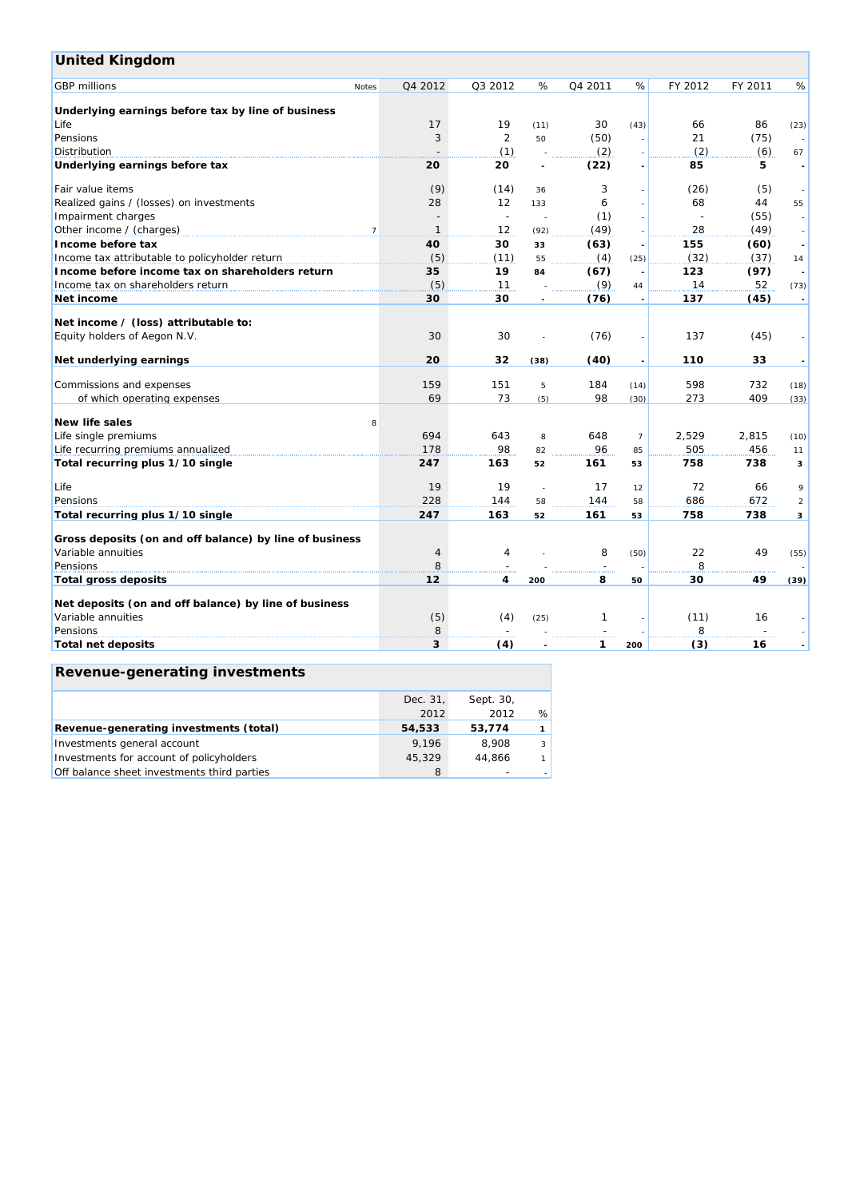| <b>United Kingdom</b>                                   |                |                |                |                          |         |                          |                |         |                             |
|---------------------------------------------------------|----------------|----------------|----------------|--------------------------|---------|--------------------------|----------------|---------|-----------------------------|
| <b>GBP</b> millions                                     | <b>Notes</b>   | Q4 2012        | Q3 2012        | %                        | Q4 2011 | $\%$                     | FY 2012        | FY 2011 | %                           |
| Underlying earnings before tax by line of business      |                |                |                |                          |         |                          |                |         |                             |
| Life                                                    |                | 17             | 19             | (11)                     | 30      | (43)                     | 66             | 86      | (23)                        |
| Pensions                                                |                | 3              | $\overline{2}$ | 50                       | (50)    |                          | 21             | (75)    |                             |
| Distribution                                            |                |                | (1)            |                          | (2)     |                          | (2)            | (6)     | 67                          |
| Underlying earnings before tax                          |                | 20             | 20             | $\overline{\phantom{a}}$ | (22)    | $\overline{\phantom{a}}$ | 85             | 5.      |                             |
| Fair value items                                        |                | (9)            | (14)           | 36                       | 3       |                          | (26)           | (5)     | $\mathcal{L}_{\mathcal{A}}$ |
| Realized gains / (losses) on investments                |                | 28             | 12             | 133                      | 6       |                          | 68             | 44      | 55                          |
| Impairment charges                                      |                |                | $\mathbb{L}$   | ÷.                       | (1)     |                          | $\overline{a}$ | (55)    | $\mathcal{L}_{\mathcal{A}}$ |
| Other income / (charges)                                | $\overline{7}$ | $\mathbf{1}$   | 12             | (92)                     | (49)    |                          | 28             | (49)    | $\bar{\mathcal{L}}$         |
| Income before tax                                       |                | 40             | 30             | 33                       | (63)    | $\overline{a}$           | 155            | (60)    | $\overline{\phantom{a}}$    |
| Income tax attributable to policyholder return          |                | (5)            | (11)           | 55                       | (4)     | (25)                     | (32)           | (37)    | 14                          |
| Income before income tax on shareholders return         |                | 35             | 19             | 84                       | (67)    | $\overline{\phantom{a}}$ | 123            | (97)    | $\overline{\phantom{a}}$    |
| Income tax on shareholders return                       |                | (5)            | 11             |                          | (9)     | 44                       | 14             | 52      | (73)                        |
| Net income                                              |                | 30             | 30             |                          | (76)    | $\overline{\phantom{a}}$ | 137            | (45)    | $\overline{\phantom{a}}$    |
|                                                         |                |                |                |                          |         |                          |                |         |                             |
| Net income / (loss) attributable to:                    |                |                |                |                          |         |                          |                |         |                             |
| Equity holders of Aegon N.V.                            |                | 30             | 30             |                          | (76)    | $\overline{\phantom{a}}$ | 137            | (45)    |                             |
| Net underlying earnings                                 |                | 20             | 32             | (38)                     | (40)    | $\overline{\phantom{a}}$ | 110            | 33      |                             |
| Commissions and expenses                                |                | 159            | 151            | 5                        | 184     | (14)                     | 598            | 732     | (18)                        |
| of which operating expenses                             |                | 69             | 73             | (5)                      | 98      | (30)                     | 273            | 409     | (33)                        |
| <b>New life sales</b>                                   | 8              |                |                |                          |         |                          |                |         |                             |
| Life single premiums                                    |                | 694            | 643            | 8                        | 648     | $\overline{7}$           | 2,529          | 2,815   | (10)                        |
| Life recurring premiums annualized                      |                | 178            | 98             | 82                       | 96      | 85                       | 505            | 456     | 11                          |
| Total recurring plus 1/10 single                        |                | 247            | 163            | 52                       | 161     | 53                       | 758            | 738     | 3                           |
| Life                                                    |                | 19             | 19             |                          | 17      | 12                       | 72             | 66      | 9                           |
| Pensions                                                |                | 228            | 144            | 58                       | 144     | 58                       | 686            | 672     | $\overline{a}$              |
| Total recurring plus 1/10 single                        |                | 247            | 163            | 52                       | 161     | 53                       | 758            | 738     | 3                           |
| Gross deposits (on and off balance) by line of business |                |                |                |                          |         |                          |                |         |                             |
| Variable annuities                                      |                | $\overline{4}$ | 4              |                          | 8       | (50)                     | 22             | 49      | (55)                        |
| Pensions                                                |                | 8              |                |                          |         |                          | 8              |         |                             |
| Total gross deposits                                    |                | 12             | 4              | 200                      | 8       | 50                       | 30             | 49      | (39)                        |
| Net deposits (on and off balance) by line of business   |                |                |                |                          |         |                          |                |         |                             |
| Variable annuities                                      |                | (5)            | (4)            | (25)                     | 1       |                          | (11)           | 16      |                             |
| Pensions                                                |                | 8              |                |                          |         |                          | 8              |         |                             |
| <b>Total net deposits</b>                               |                | 3              | (4)            |                          | 1       | 200                      | (3)            | 16      |                             |

| Revenue-generating investments              |          |           |               |  |  |  |  |  |  |  |
|---------------------------------------------|----------|-----------|---------------|--|--|--|--|--|--|--|
|                                             | Dec. 31, | Sept. 30, |               |  |  |  |  |  |  |  |
|                                             | 2012     | 2012      | %             |  |  |  |  |  |  |  |
| Revenue-generating investments (total)      | 54,533   | 53,774    | $\mathbf{1}$  |  |  |  |  |  |  |  |
| Investments general account                 | 9.196    | 8.908     | $\cdot$ 3     |  |  |  |  |  |  |  |
| Investments for account of policyholders    | 45,329   | 44.866    | $\mathcal{I}$ |  |  |  |  |  |  |  |
| Off balance sheet investments third parties | 8        |           |               |  |  |  |  |  |  |  |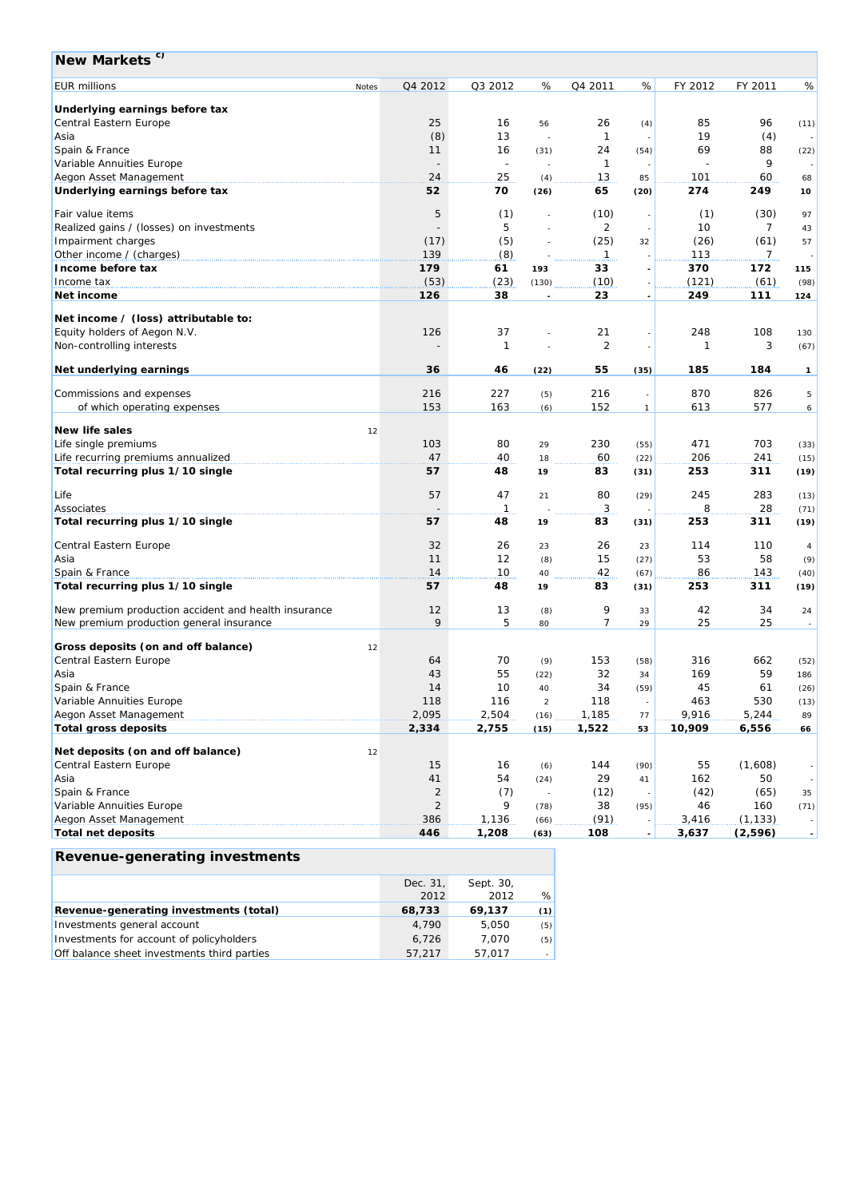| New Markets <sup>c)</sup>                            |                |                          |                          |                |                          |              |             |                          |
|------------------------------------------------------|----------------|--------------------------|--------------------------|----------------|--------------------------|--------------|-------------|--------------------------|
| <b>EUR</b> millions<br>Notes                         | Q4 2012        | Q3 2012                  | %                        | Q4 2011        | %                        | FY 2012      | FY 2011     | %                        |
| Underlying earnings before tax                       |                |                          |                          |                |                          |              |             |                          |
| Central Eastern Europe                               | 25             | 16                       | 56                       | 26             | (4)                      | 85           | 96          | (11)                     |
| Asia                                                 | (8)            | 13                       | ÷.                       | 1              |                          | 19           | (4)         |                          |
| Spain & France                                       | 11             | 16                       | (31)                     | 24             | (54)                     | 69           | 88          | (22)                     |
| Variable Annuities Europe                            |                | $\overline{\phantom{a}}$ |                          | 1              |                          |              | 9           |                          |
| <b>Aegon Asset Management</b>                        | 24             | 25                       | (4)                      | 13             | 85                       | 101          | 60          | 68                       |
| Underlying earnings before tax                       | 52             | 70                       | (26)                     | 65             | (20)                     | 274          | 249         | 10                       |
|                                                      |                |                          |                          |                |                          |              |             |                          |
| Fair value items                                     | 5              | (1)                      |                          | (10)           |                          | (1)          | (30)        | 97                       |
| Realized gains / (losses) on investments             |                | 5                        |                          | $\overline{2}$ |                          | 10           | 7           | 43                       |
| Impairment charges                                   | (17)           | (5)                      | $\sim$                   | (25)           | 32                       | (26)         | (61)        | 57                       |
| Other income / (charges)                             | 139            | (8)                      |                          | 1              |                          | 113          | 7           |                          |
| Income before tax                                    | 179            | 61                       | 193                      | 33             |                          | 370          | 172         | 115                      |
| Income tax<br>Net income                             | (53)<br>126    | (23)<br>38               | (130)                    | (10)<br>23     | $\sim$                   | (121)<br>249 | (61)<br>111 | (98)                     |
|                                                      |                |                          | $\overline{\phantom{a}}$ |                | $\overline{\phantom{a}}$ |              |             | 124                      |
| Net income / (loss) attributable to:                 |                |                          |                          |                |                          |              |             |                          |
| Equity holders of Aegon N.V.                         | 126            | 37                       |                          | 21             |                          | 248          | 108         | 130                      |
| Non-controlling interests                            |                | $\mathcal{I}$            |                          | $\overline{2}$ |                          | $\mathcal I$ | 3           | (67)                     |
|                                                      |                |                          |                          |                |                          |              |             |                          |
| Net underlying earnings                              | 36             | 46                       | (22)                     | 55             | (35)                     | 185          | 184         | $\mathbf{1}$             |
| Commissions and expenses                             | 216            | 227                      | (5)                      | 216            | ÷,                       | 870          | 826         | 5                        |
| of which operating expenses                          | 153            | 163                      | (6)                      | 152            | $\boldsymbol{\eta}$      | 613          | 577         | 6                        |
|                                                      |                |                          |                          |                |                          |              |             |                          |
| New life sales<br>12                                 |                |                          |                          |                |                          |              |             |                          |
| Life single premiums                                 | 103            | 80                       | 29                       | 230            | (55)                     | 471          | 703         | (33)                     |
| Life recurring premiums annualized                   | 47             | 40                       | 18                       | 60             | (22)                     | 206          | 241         | (15)                     |
| Total recurring plus 1/10 single                     | 57             | 48                       | 19                       | 83             | (31)                     | 253          | 311         | (19)                     |
| Life                                                 | 57             | 47                       | 21                       | 80             | (29)                     | 245          | 283         | (13)                     |
| Associates                                           |                | 1                        |                          | 3              |                          | 8            | 28          | (71)                     |
| Total recurring plus 1/10 single                     | 57             | 48                       | 19                       | 83             | (31)                     | 253          | 311         | (19)                     |
|                                                      |                |                          |                          |                |                          |              |             |                          |
| Central Eastern Europe                               | 32             | 26                       | 23                       | 26             | 23                       | 114          | 110         | $\overline{4}$           |
| Asia                                                 | 11             | 12                       | (8)                      | 15             | (27)                     | 53           | 58          | (9)                      |
| Spain & France                                       | 14             | 10                       | 40                       | 42             | (67)                     | 86           | 143         | (40)                     |
| Total recurring plus 1/10 single                     | 57             | 48                       | 19                       | 83             | (31)                     | 253          | 311         | (19)                     |
| New premium production accident and health insurance | 12             | 13                       | (8)                      | 9              | 33                       | 42           | 34          | 24                       |
| New premium production general insurance             | 9              | 5                        | 80                       | $\overline{7}$ | 29                       | 25           | 25          | $\sim$                   |
|                                                      |                |                          |                          |                |                          |              |             |                          |
| Gross deposits (on and off balance)<br>12            |                |                          |                          |                |                          |              |             |                          |
| Central Eastern Europe                               | 64             | 70                       | (9)                      | 153            | (58)                     | 316          | 662         | (52)                     |
| Asia                                                 | 43             | 55                       | (22)                     | 32             | 34                       | 169          | 59          | 186                      |
| Spain & France                                       | 14             | 10                       | 40                       | 34             | (59)                     | 45           | 61          | (26)                     |
| Variable Annuities Europe                            | 118            | 116                      | $\overline{a}$           | 118            |                          | 463          | 530         | (13)                     |
| Aegon Asset Management                               | 2,095          | 2,504                    | (16)                     | 1,185          | 77                       | 9,916        | 5,244       | 89                       |
| <b>Total gross deposits</b>                          | 2,334          | 2,755                    | (15)                     | 1,522          | 53                       | 10,909       | 6,556       | 66                       |
| Net deposits (on and off balance)<br>12              |                |                          |                          |                |                          |              |             |                          |
| Central Eastern Europe                               | 15             | 16                       | (6)                      | 144            | (90)                     | 55           | (1,608)     |                          |
| Asia                                                 | 41             | 54                       | (24)                     | 29             | 41                       | 162          | 50          |                          |
| Spain & France                                       | $\overline{2}$ | (7)                      | $\overline{\phantom{a}}$ | (12)           |                          | (42)         | (65)        | 35                       |
| Variable Annuities Europe                            | $\overline{2}$ | 9                        | (78)                     | 38             | (95)                     | 46           | 160         | (71)                     |
| Aegon Asset Management                               | 386            | 1,136                    | (66)                     | (91)           |                          | 3,416        | (1, 133)    |                          |
| <b>Total net deposits</b>                            | 446            | 1,208                    | (63)                     | 108            | $\overline{\phantom{a}}$ | 3,637        | (2,596)     | $\overline{\phantom{a}}$ |

# **Revenue-generating investments**

|                                             | Dec. 31. | Sept. 30. |     |
|---------------------------------------------|----------|-----------|-----|
|                                             | 2012     | 2012      | %   |
| Revenue-generating investments (total)      | 68,733   | 69.137    | (1) |
| Investments general account                 | 4.790    | 5.050     | (5) |
| Investments for account of policyholders    | 6.726    | 7.070     | (5) |
| Off balance sheet investments third parties | 57,217   | 57.017    |     |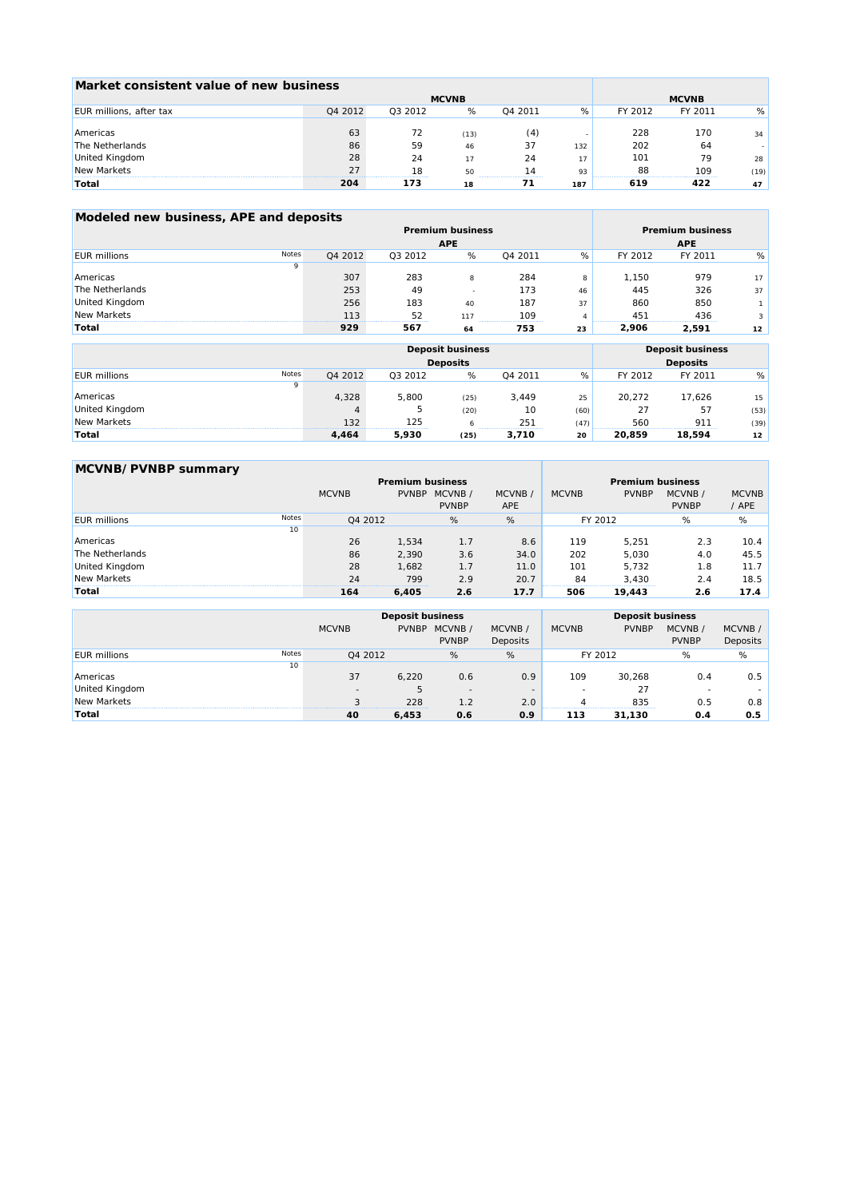| Market consistent value of new business |         |         |              |             |     |         |              |      |
|-----------------------------------------|---------|---------|--------------|-------------|-----|---------|--------------|------|
|                                         |         |         | <b>MCVNB</b> |             |     |         | <b>MCVNB</b> |      |
| EUR millions, after tax                 | Q4 2012 | Q3 2012 | %            | Q4 2011     | %   | FY 2012 | FY 2011      | %    |
|                                         |         |         |              |             |     |         |              |      |
| Americas                                | 63      | 72      | (13)         | (4)         |     | 228     | 170          | 34   |
| The Netherlands                         | 86      | 59      | 46           | 37          | 132 | 202     | 64           |      |
| United Kingdom                          | 28      | 24      | 17           | 24          |     | 101     | 79           | 28   |
| New Markets                             | 27      | 18      | 50           | ----------- | 93  | 88      | 109          | (19) |
| Total                                   | 204     | 173     | 18           |             | 187 | 619     | 422          | 47   |

| Modeled new business, APE and deposits |       |         |                         |                         |         |    |            |         |    |
|----------------------------------------|-------|---------|-------------------------|-------------------------|---------|----|------------|---------|----|
|                                        |       |         | <b>Premium business</b> | <b>Premium business</b> |         |    |            |         |    |
|                                        |       |         |                         | <b>APE</b>              |         |    | <b>APE</b> |         |    |
| <b>EUR</b> millions                    | Notes | Q4 2012 | Q3 2012                 | %                       | 04 2011 | %  | FY 2012    | FY 2011 | %  |
|                                        |       |         |                         |                         |         |    |            |         |    |
| Americas                               |       | 307     | 283                     | 8                       | 284     | 8  | 1.150      | 979     | 17 |
| The Netherlands                        |       | 253     | 49                      |                         | 173     | 46 | 445        | 326     | 37 |
| United Kingdom                         |       | 256     | 183                     | 40                      | 187     | 37 | 860        | 850     |    |
| New Markets                            |       | 113     | 52                      | 117                     | 109     |    | 451        | 436     | 3  |
| Total                                  |       | 929     | 567                     | 64                      | 753     | 23 | 2.906      | 2.591   | 12 |

|                     |         |         | <b>Deposit business</b> | <b>Deposit business</b> |         |      |         |                 |      |  |  |
|---------------------|---------|---------|-------------------------|-------------------------|---------|------|---------|-----------------|------|--|--|
|                     |         |         | <b>Deposits</b>         |                         |         |      |         | <b>Deposits</b> |      |  |  |
| <b>EUR</b> millions | Notes   | Q4 2012 | Q3 2012                 | %                       | Q4 2011 | %    | FY 2012 | FY 2011         | %    |  |  |
|                     | $\circ$ |         |                         |                         |         |      |         |                 |      |  |  |
| Americas            |         | 4.328   | 5.800                   | (25)                    | 3.449   | 25   | 20.272  | 17,626          | 15   |  |  |
| United Kingdom      |         |         |                         | (20)                    | 10      | (60) | 27      | 57              | (53) |  |  |
| New Markets         |         | 132     | 125                     |                         | 251     | (47) | 560     | 91              | (39) |  |  |
| Total               |         | 4.464   | 5,930                   | (25)                    | 3,710   | 20   | 20.859  | 18,594          | 12   |  |  |

| MCVNB/PVNBP summary |       |              |              |                         |            |                         |              |              |              |  |
|---------------------|-------|--------------|--------------|-------------------------|------------|-------------------------|--------------|--------------|--------------|--|
|                     |       |              |              | <b>Premium business</b> |            | <b>Premium business</b> |              |              |              |  |
|                     |       | <b>MCVNB</b> | <b>PVNBP</b> | MCVNB /                 | MCVNB /    | <b>MCVNB</b>            | <b>PVNBP</b> | MCVNB /      | <b>MCVNB</b> |  |
|                     |       |              |              | <b>PVNBP</b>            | <b>APE</b> |                         |              | <b>PVNBP</b> | / APE        |  |
| <b>EUR</b> millions | Notes | Q4 2012      |              | %                       | %          | FY 2012                 |              | %            | %            |  |
|                     | 10    |              |              |                         |            |                         |              |              |              |  |
| Americas            |       | 26           | 1.534        | 1.7                     | 8.6        | 119                     | 5.251        | 2.3          | 10.4         |  |
| The Netherlands     |       | 86           | 2.390        | 3.6                     | 34.0       | 202                     | 5.030        | 4.0          | 45.5         |  |
| United Kingdom      |       | 28           | 1.682        | 1.7                     | 11.0       | 101                     | 5.732        | 1.8          | 11.7         |  |
| New Markets         |       | 24           | 799          | 2.9                     | 20.7       | 84                      | 3.430        | 2.4          | 18.5         |  |
| Total               |       | 164          | 6,405        | 2.6                     | 17.7       | 506                     | 19,443       | 2.6          | 17.4         |  |

|                     | <b>Deposit business</b> |              |              |                          |                          | <b>Deposit business</b> |              |                         |                     |  |
|---------------------|-------------------------|--------------|--------------|--------------------------|--------------------------|-------------------------|--------------|-------------------------|---------------------|--|
|                     |                         | <b>MCVNB</b> | <b>PVNBP</b> | MCVNB /<br><b>PVNBP</b>  | MCVNB /<br>Deposits      | <b>MCVNB</b>            | <b>PVNBP</b> | MCVNB /<br><b>PVNBP</b> | MCVNB /<br>Deposits |  |
| <b>EUR</b> millions | Notes                   | Q4 2012      |              | %                        | %                        |                         | FY 2012      | %                       | %                   |  |
|                     | 10                      |              |              |                          |                          |                         |              |                         |                     |  |
| Americas            |                         | 37           | 6.220        | 0.6                      | 0.9                      | 109                     | 30.268       | 0.4                     | 0.5                 |  |
| United Kingdom      |                         | $\equiv$     | b            | $\overline{\phantom{a}}$ | $\overline{\phantom{a}}$ | ۰                       | 27           | $\sim$                  |                     |  |
| New Markets         |                         | $\sim$       | 228          | 1.2                      | 2.0                      |                         | 835          | 0.5                     | 0.8                 |  |
| Total               |                         | 40           | 6,453        | 0.6                      | 0.9                      | 113                     | 31.130       | 0.4                     | 0.5                 |  |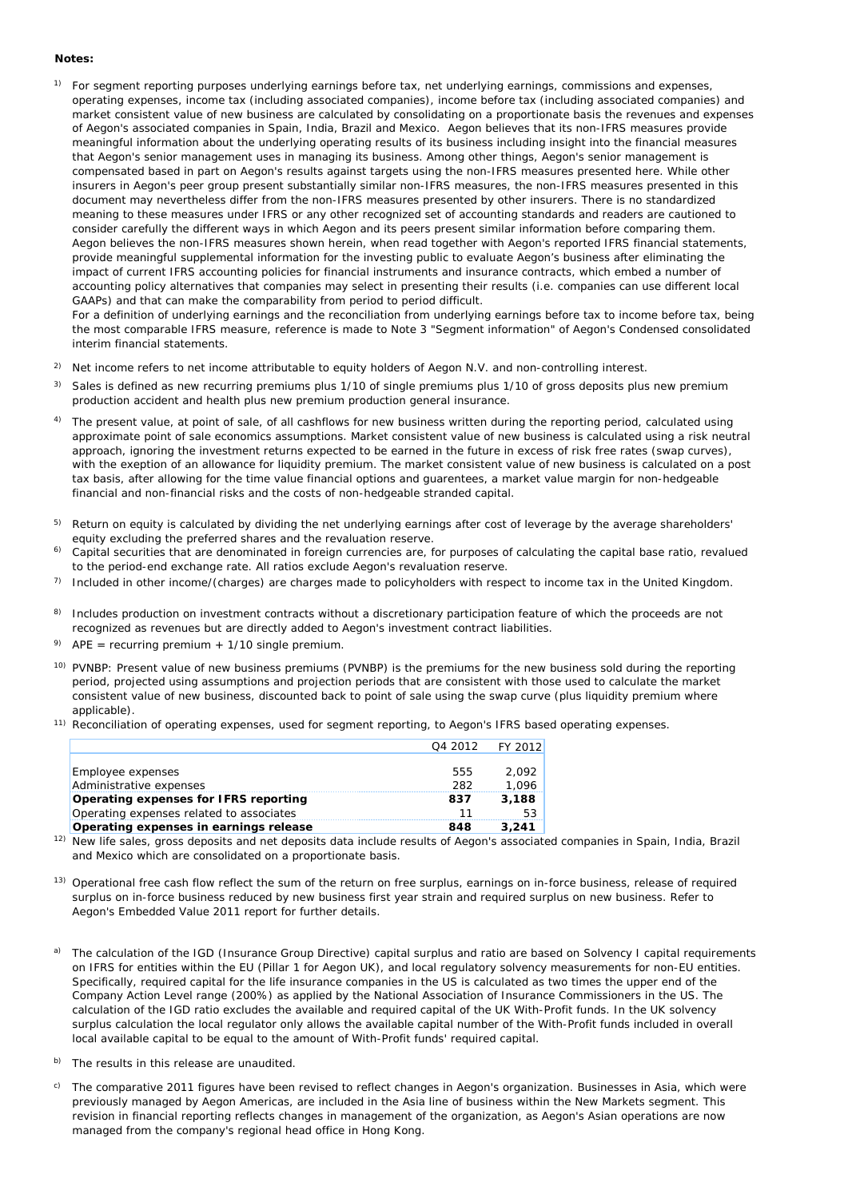### **Notes:**

1) For segment reporting purposes underlying earnings before tax, net underlying earnings, commissions and expenses, operating expenses, income tax (including associated companies), income before tax (including associated companies) and market consistent value of new business are calculated by consolidating on a proportionate basis the revenues and expenses of Aegon's associated companies in Spain, India, Brazil and Mexico. Aegon believes that its non-IFRS measures provide meaningful information about the underlying operating results of its business including insight into the financial measures that Aegon's senior management uses in managing its business. Among other things, Aegon's senior management is compensated based in part on Aegon's results against targets using the non-IFRS measures presented here. While other insurers in Aegon's peer group present substantially similar non-IFRS measures, the non-IFRS measures presented in this document may nevertheless differ from the non-IFRS measures presented by other insurers. There is no standardized meaning to these measures under IFRS or any other recognized set of accounting standards and readers are cautioned to consider carefully the different ways in which Aegon and its peers present similar information before comparing them. Aegon believes the non-IFRS measures shown herein, when read together with Aegon's reported IFRS financial statements, provide meaningful supplemental information for the investing public to evaluate Aegon's business after eliminating the impact of current IFRS accounting policies for financial instruments and insurance contracts, which embed a number of accounting policy alternatives that companies may select in presenting their results (i.e. companies can use different local GAAPs) and that can make the comparability from period to period difficult.

For a definition of underlying earnings and the reconciliation from underlying earnings before tax to income before tax, being the most comparable IFRS measure, reference is made to Note 3 "Segment information" of Aegon's Condensed consolidated interim financial statements.

- 2) Net income refers to net income attributable to equity holders of Aegon N.V. and non-controlling interest.
- 3) Sales is defined as new recurring premiums plus 1/10 of single premiums plus 1/10 of gross deposits plus new premium production accident and health plus new premium production general insurance.
- <sup>4)</sup> The present value, at point of sale, of all cashflows for new business written during the reporting period, calculated using approximate point of sale economics assumptions. Market consistent value of new business is calculated using a risk neutral approach, ignoring the investment returns expected to be earned in the future in excess of risk free rates (swap curves), with the exeption of an allowance for liquidity premium. The market consistent value of new business is calculated on a post tax basis, after allowing for the time value financial options and guarentees, a market value margin for non-hedgeable financial and non-financial risks and the costs of non-hedgeable stranded capital.
- <sup>5)</sup> Return on equity is calculated by dividing the net underlying earnings after cost of leverage by the average shareholders' equity excluding the preferred shares and the revaluation reserve.
- 6) Capital securities that are denominated in foreign currencies are, for purposes of calculating the capital base ratio, revalued to the period-end exchange rate. All ratios exclude Aegon's revaluation reserve.
- $7)$  Included in other income/(charges) are charges made to policyholders with respect to income tax in the United Kingdom.
- <sup>8)</sup> Includes production on investment contracts without a discretionary participation feature of which the proceeds are not recognized as revenues but are directly added to Aegon's investment contract liabilities.
- 9)  $APE = recurring premium + 1/10 single premium$ .
- <sup>10)</sup> PVNBP: Present value of new business premiums (PVNBP) is the premiums for the new business sold during the reporting period, projected using assumptions and projection periods that are consistent with those used to calculate the market consistent value of new business, discounted back to point of sale using the swap curve (plus liquidity premium where applicable).
- <sup>11)</sup> Reconciliation of operating expenses, used for segment reporting, to Aegon's IFRS based operating expenses.

|                                              |     | 04 2012 FY 2012 |
|----------------------------------------------|-----|-----------------|
|                                              |     |                 |
| Employee expenses                            | 555 | 2.092           |
| Administrative expenses                      | 282 | 1.096           |
| <b>Operating expenses for IFRS reporting</b> | 837 | 3,188           |
| Operating expenses related to associates     | 11  | 53              |
| Operating expenses in earnings release       | 848 | 3.241           |

- <sup>12)</sup> New life sales, gross deposits and net deposits data include results of Aegon's associated companies in Spain, India, Brazil and Mexico which are consolidated on a proportionate basis.
- <sup>13)</sup> Operational free cash flow reflect the sum of the return on free surplus, earnings on in-force business, release of required surplus on in-force business reduced by new business first year strain and required surplus on new business. Refer to Aegon's Embedded Value 2011 report for further details.
- <sup>a)</sup> The calculation of the IGD (Insurance Group Directive) capital surplus and ratio are based on Solvency I capital requirements on IFRS for entities within the EU (Pillar 1 for Aegon UK), and local regulatory solvency measurements for non-EU entities. Specifically, required capital for the life insurance companies in the US is calculated as two times the upper end of the Company Action Level range (200%) as applied by the National Association of Insurance Commissioners in the US. The calculation of the IGD ratio excludes the available and required capital of the UK With-Profit funds. In the UK solvency surplus calculation the local regulator only allows the available capital number of the With-Profit funds included in overall local available capital to be equal to the amount of With-Profit funds' required capital.
- b) The results in this release are unaudited.
- c) The comparative 2011 figures have been revised to reflect changes in Aegon's organization. Businesses in Asia, which were previously managed by Aegon Americas, are included in the Asia line of business within the New Markets segment. This revision in financial reporting reflects changes in management of the organization, as Aegon's Asian operations are now managed from the company's regional head office in Hong Kong.